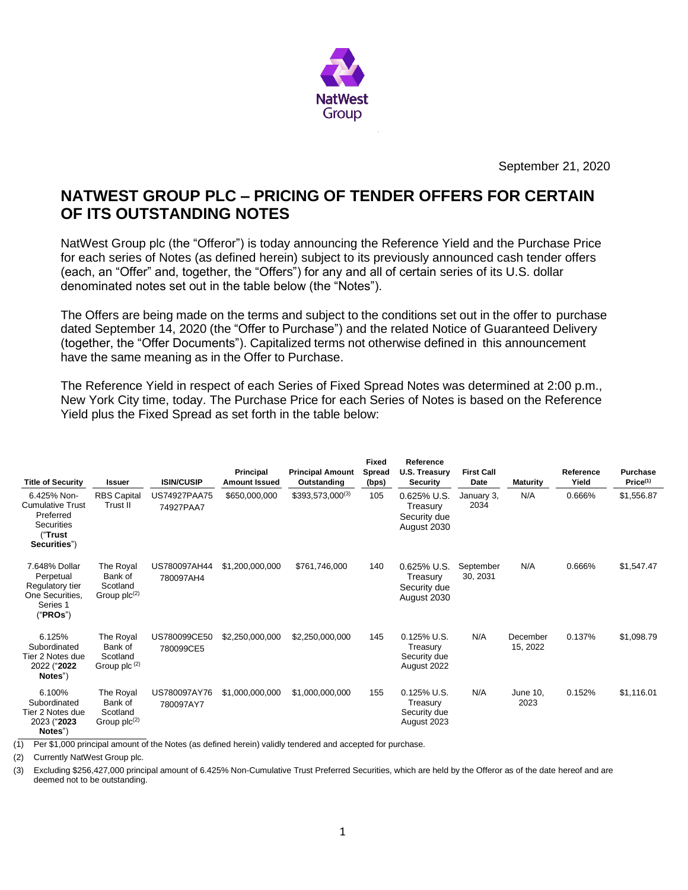

September 21, 2020

# **NATWEST GROUP PLC – PRICING OF TENDER OFFERS FOR CERTAIN OF ITS OUTSTANDING NOTES**

NatWest Group plc (the "Offeror") is today announcing the Reference Yield and the Purchase Price for each series of Notes (as defined herein) subject to its previously announced cash tender offers (each, an "Offer" and, together, the "Offers") for any and all of certain series of its U.S. dollar denominated notes set out in the table below (the "Notes").

The Offers are being made on the terms and subject to the conditions set out in the offer to purchase dated September 14, 2020 (the "Offer to Purchase") and the related Notice of Guaranteed Delivery (together, the "Offer Documents"). Capitalized terms not otherwise defined in this announcement have the same meaning as in the Offer to Purchase.

The Reference Yield in respect of each Series of Fixed Spread Notes was determined at 2:00 p.m., New York City time, today. The Purchase Price for each Series of Notes is based on the Reference Yield plus the Fixed Spread as set forth in the table below:

| <b>Title of Security</b>                                                                            | <b>Issuer</b>                                         | <b>ISIN/CUSIP</b>         | <b>Principal</b><br><b>Amount Issued</b> | <b>Principal Amount</b><br>Outstanding | <b>Fixed</b><br>Spread<br>(bps) | Reference<br>U.S. Treasury<br>Security                    | <b>First Call</b><br>Date | <b>Maturity</b>      | Reference<br>Yield | <b>Purchase</b><br>Price <sup>(1)</sup> |
|-----------------------------------------------------------------------------------------------------|-------------------------------------------------------|---------------------------|------------------------------------------|----------------------------------------|---------------------------------|-----------------------------------------------------------|---------------------------|----------------------|--------------------|-----------------------------------------|
| 6.425% Non-<br><b>Cumulative Trust</b><br>Preferred<br><b>Securities</b><br>("Trust<br>Securities") | <b>RBS Capital</b><br>Trust II                        | US74927PAA75<br>74927PAA7 | \$650,000,000                            | $$393,573,000^{(3)}$                   | 105                             | $0.625\%$ U.S.<br>Treasury<br>Security due<br>August 2030 | January 3,<br>2034        | N/A                  | 0.666%             | \$1,556.87                              |
| 7.648% Dollar<br>Perpetual<br>Regulatory tier<br>One Securities,<br>Series <sub>1</sub><br>("PROs") | The Royal<br>Bank of<br>Scotland<br>Group $plc^{(2)}$ | US780097AH44<br>780097AH4 | \$1,200,000,000                          | \$761,746,000                          | 140                             | $0.625\%$ U.S.<br>Treasurv<br>Security due<br>August 2030 | September<br>30, 2031     | N/A                  | 0.666%             | \$1,547.47                              |
| 6.125%<br>Subordinated<br>Tier 2 Notes due<br>2022 ("2022<br>Notes")                                | The Royal<br>Bank of<br>Scotland<br>Group plc $(2)$   | US780099CE50<br>780099CE5 | \$2,250,000,000                          | \$2,250,000,000                        | 145                             | $0.125\%$ U.S.<br>Treasury<br>Security due<br>August 2022 | N/A                       | December<br>15, 2022 | 0.137%             | \$1,098.79                              |
| 6.100%<br>Subordinated<br>Tier 2 Notes due<br>2023 ("2023<br>Notes"                                 | The Royal<br>Bank of<br>Scotland<br>Group $plc^{(2)}$ | US780097AY76<br>780097AY7 | \$1,000,000,000                          | \$1,000,000,000                        | 155                             | $0.125\%$ U.S.<br>Treasury<br>Security due<br>August 2023 | N/A                       | June 10,<br>2023     | 0.152%             | \$1,116.01                              |

(1) Per \$1,000 principal amount of the Notes (as defined herein) validly tendered and accepted for purchase.

(2) Currently NatWest Group plc.

(3) Excluding \$256,427,000 principal amount of 6.425% Non-Cumulative Trust Preferred Securities, which are held by the Offeror as of the date hereof and are deemed not to be outstanding.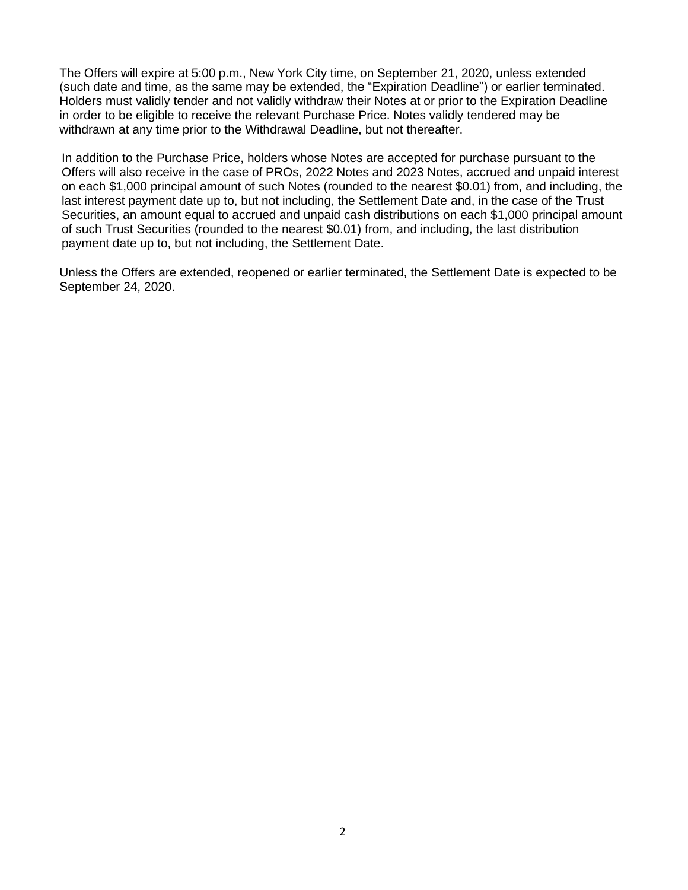The Offers will expire at 5:00 p.m., New York City time, on September 21, 2020, unless extended (such date and time, as the same may be extended, the "Expiration Deadline") or earlier terminated. Holders must validly tender and not validly withdraw their Notes at or prior to the Expiration Deadline in order to be eligible to receive the relevant Purchase Price. Notes validly tendered may be withdrawn at any time prior to the Withdrawal Deadline, but not thereafter.

In addition to the Purchase Price, holders whose Notes are accepted for purchase pursuant to the Offers will also receive in the case of PROs, 2022 Notes and 2023 Notes, accrued and unpaid interest on each \$1,000 principal amount of such Notes (rounded to the nearest \$0.01) from, and including, the last interest payment date up to, but not including, the Settlement Date and, in the case of the Trust Securities, an amount equal to accrued and unpaid cash distributions on each \$1,000 principal amount of such Trust Securities (rounded to the nearest \$0.01) from, and including, the last distribution payment date up to, but not including, the Settlement Date.

Unless the Offers are extended, reopened or earlier terminated, the Settlement Date is expected to be September 24, 2020.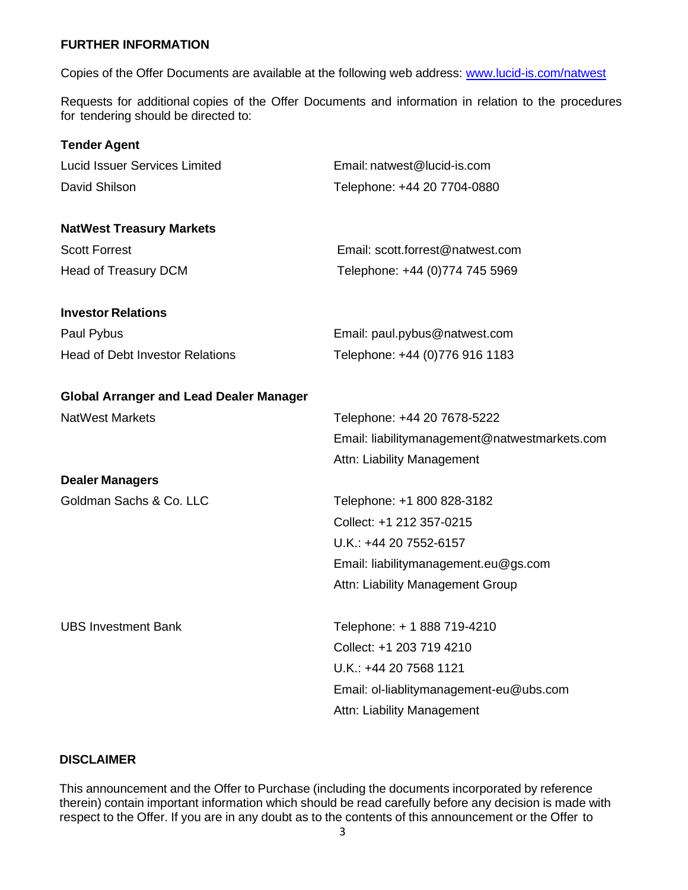## **FURTHER INFORMATION**

Copies of the Offer Documents are available at the following web address: [www.lucid-is.com/natwest](http://www.lucid-is.com/natwest)

Requests for additional copies of the Offer Documents and information in relation to the procedures for tendering should be directed to:

| <b>Tender Agent</b>                            |                                               |  |  |  |  |  |  |
|------------------------------------------------|-----------------------------------------------|--|--|--|--|--|--|
| <b>Lucid Issuer Services Limited</b>           | Email: natwest@lucid-is.com                   |  |  |  |  |  |  |
| David Shilson                                  | Telephone: +44 20 7704-0880                   |  |  |  |  |  |  |
| <b>NatWest Treasury Markets</b>                |                                               |  |  |  |  |  |  |
| <b>Scott Forrest</b>                           | Email: scott.forrest@natwest.com              |  |  |  |  |  |  |
| Head of Treasury DCM                           | Telephone: +44 (0)774 745 5969                |  |  |  |  |  |  |
| <b>Investor Relations</b>                      |                                               |  |  |  |  |  |  |
| Paul Pybus                                     | Email: paul.pybus@natwest.com                 |  |  |  |  |  |  |
| <b>Head of Debt Investor Relations</b>         | Telephone: +44 (0)776 916 1183                |  |  |  |  |  |  |
| <b>Global Arranger and Lead Dealer Manager</b> |                                               |  |  |  |  |  |  |
| <b>NatWest Markets</b>                         | Telephone: +44 20 7678-5222                   |  |  |  |  |  |  |
|                                                | Email: liabilitymanagement@natwestmarkets.com |  |  |  |  |  |  |
|                                                | Attn: Liability Management                    |  |  |  |  |  |  |
| <b>Dealer Managers</b>                         |                                               |  |  |  |  |  |  |
| Goldman Sachs & Co. LLC                        | Telephone: +1 800 828-3182                    |  |  |  |  |  |  |
|                                                | Collect: +1 212 357-0215                      |  |  |  |  |  |  |
|                                                | U.K.: +44 20 7552-6157                        |  |  |  |  |  |  |
|                                                | Email: liabilitymanagement.eu@gs.com          |  |  |  |  |  |  |
|                                                | Attn: Liability Management Group              |  |  |  |  |  |  |
| <b>UBS Investment Bank</b>                     | Telephone: + 1 888 719-4210                   |  |  |  |  |  |  |
|                                                | Collect: +1 203 719 4210                      |  |  |  |  |  |  |
|                                                | U.K.: +44 20 7568 1121                        |  |  |  |  |  |  |
|                                                | Email: ol-liablitymanagement-eu@ubs.com       |  |  |  |  |  |  |
|                                                | Attn: Liability Management                    |  |  |  |  |  |  |
|                                                |                                               |  |  |  |  |  |  |

## **DISCLAIMER**

This announcement and the Offer to Purchase (including the documents incorporated by reference therein) contain important information which should be read carefully before any decision is made with respect to the Offer. If you are in any doubt as to the contents of this announcement or the Offer to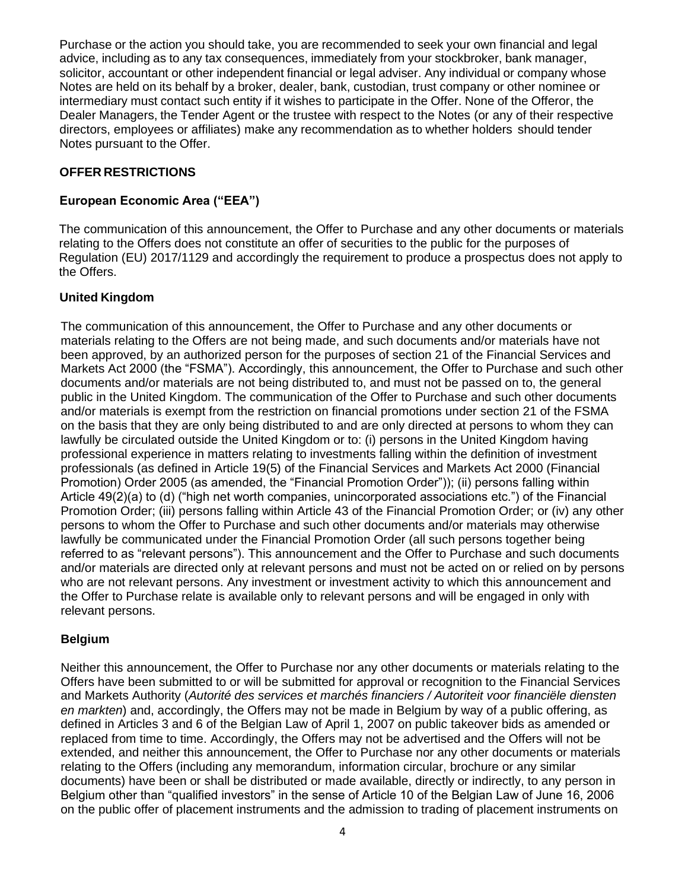Purchase or the action you should take, you are recommended to seek your own financial and legal advice, including as to any tax consequences, immediately from your stockbroker, bank manager, solicitor, accountant or other independent financial or legal adviser. Any individual or company whose Notes are held on its behalf by a broker, dealer, bank, custodian, trust company or other nominee or intermediary must contact such entity if it wishes to participate in the Offer. None of the Offeror, the Dealer Managers, the Tender Agent or the trustee with respect to the Notes (or any of their respective directors, employees or affiliates) make any recommendation as to whether holders should tender Notes pursuant to the Offer.

## **OFFER RESTRICTIONS**

## **European Economic Area ("EEA")**

The communication of this announcement, the Offer to Purchase and any other documents or materials relating to the Offers does not constitute an offer of securities to the public for the purposes of Regulation (EU) 2017/1129 and accordingly the requirement to produce a prospectus does not apply to the Offers.

## **United Kingdom**

The communication of this announcement, the Offer to Purchase and any other documents or materials relating to the Offers are not being made, and such documents and/or materials have not been approved, by an authorized person for the purposes of section 21 of the Financial Services and Markets Act 2000 (the "FSMA"). Accordingly, this announcement, the Offer to Purchase and such other documents and/or materials are not being distributed to, and must not be passed on to, the general public in the United Kingdom. The communication of the Offer to Purchase and such other documents and/or materials is exempt from the restriction on financial promotions under section 21 of the FSMA on the basis that they are only being distributed to and are only directed at persons to whom they can lawfully be circulated outside the United Kingdom or to: (i) persons in the United Kingdom having professional experience in matters relating to investments falling within the definition of investment professionals (as defined in Article 19(5) of the Financial Services and Markets Act 2000 (Financial Promotion) Order 2005 (as amended, the "Financial Promotion Order")); (ii) persons falling within Article 49(2)(a) to (d) ("high net worth companies, unincorporated associations etc.") of the Financial Promotion Order; (iii) persons falling within Article 43 of the Financial Promotion Order; or (iv) any other persons to whom the Offer to Purchase and such other documents and/or materials may otherwise lawfully be communicated under the Financial Promotion Order (all such persons together being referred to as "relevant persons"). This announcement and the Offer to Purchase and such documents and/or materials are directed only at relevant persons and must not be acted on or relied on by persons who are not relevant persons. Any investment or investment activity to which this announcement and the Offer to Purchase relate is available only to relevant persons and will be engaged in only with relevant persons.

## **Belgium**

Neither this announcement, the Offer to Purchase nor any other documents or materials relating to the Offers have been submitted to or will be submitted for approval or recognition to the Financial Services and Markets Authority (*Autorité des services et marchés financiers / Autoriteit voor financiële diensten en markten*) and, accordingly, the Offers may not be made in Belgium by way of a public offering, as defined in Articles 3 and 6 of the Belgian Law of April 1, 2007 on public takeover bids as amended or replaced from time to time. Accordingly, the Offers may not be advertised and the Offers will not be extended, and neither this announcement, the Offer to Purchase nor any other documents or materials relating to the Offers (including any memorandum, information circular, brochure or any similar documents) have been or shall be distributed or made available, directly or indirectly, to any person in Belgium other than "qualified investors" in the sense of Article 10 of the Belgian Law of June 16, 2006 on the public offer of placement instruments and the admission to trading of placement instruments on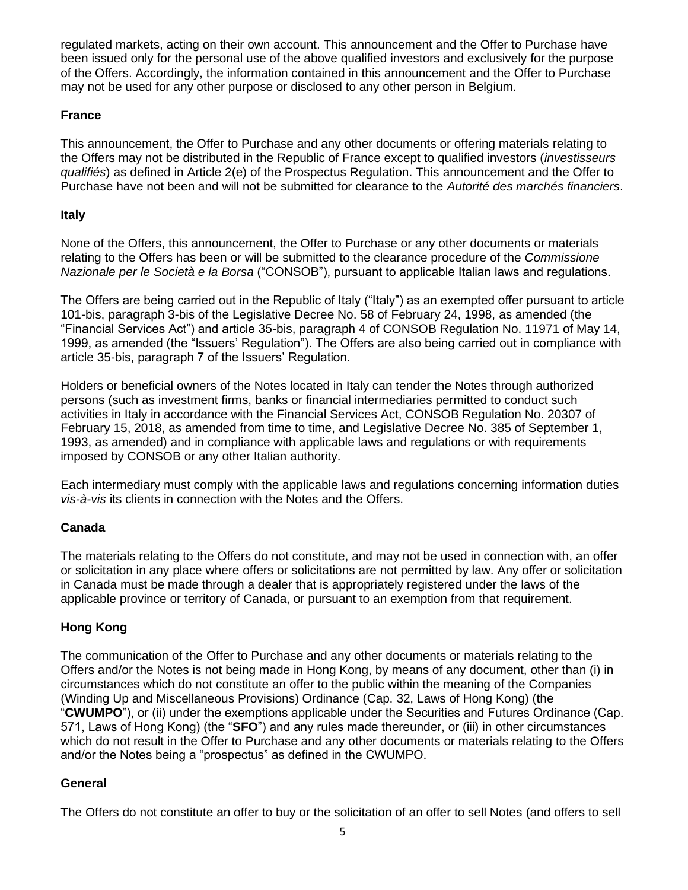regulated markets, acting on their own account. This announcement and the Offer to Purchase have been issued only for the personal use of the above qualified investors and exclusively for the purpose of the Offers. Accordingly, the information contained in this announcement and the Offer to Purchase may not be used for any other purpose or disclosed to any other person in Belgium.

## **France**

This announcement, the Offer to Purchase and any other documents or offering materials relating to the Offers may not be distributed in the Republic of France except to qualified investors (*investisseurs qualifiés*) as defined in Article 2(e) of the Prospectus Regulation. This announcement and the Offer to Purchase have not been and will not be submitted for clearance to the *Autorité des marchés financiers*.

## **Italy**

None of the Offers, this announcement, the Offer to Purchase or any other documents or materials relating to the Offers has been or will be submitted to the clearance procedure of the *Commissione Nazionale per le Società e la Borsa* ("CONSOB"), pursuant to applicable Italian laws and regulations.

The Offers are being carried out in the Republic of Italy ("Italy") as an exempted offer pursuant to article 101-bis, paragraph 3-bis of the Legislative Decree No. 58 of February 24, 1998, as amended (the "Financial Services Act") and article 35-bis, paragraph 4 of CONSOB Regulation No. 11971 of May 14, 1999, as amended (the "Issuers' Regulation"). The Offers are also being carried out in compliance with article 35-bis, paragraph 7 of the Issuers' Regulation.

Holders or beneficial owners of the Notes located in Italy can tender the Notes through authorized persons (such as investment firms, banks or financial intermediaries permitted to conduct such activities in Italy in accordance with the Financial Services Act, CONSOB Regulation No. 20307 of February 15, 2018, as amended from time to time, and Legislative Decree No. 385 of September 1, 1993, as amended) and in compliance with applicable laws and regulations or with requirements imposed by CONSOB or any other Italian authority.

Each intermediary must comply with the applicable laws and regulations concerning information duties *vis-à-vis* its clients in connection with the Notes and the Offers.

## **Canada**

The materials relating to the Offers do not constitute, and may not be used in connection with, an offer or solicitation in any place where offers or solicitations are not permitted by law. Any offer or solicitation in Canada must be made through a dealer that is appropriately registered under the laws of the applicable province or territory of Canada, or pursuant to an exemption from that requirement.

## **Hong Kong**

The communication of the Offer to Purchase and any other documents or materials relating to the Offers and/or the Notes is not being made in Hong Kong, by means of any document, other than (i) in circumstances which do not constitute an offer to the public within the meaning of the Companies (Winding Up and Miscellaneous Provisions) Ordinance (Cap. 32, Laws of Hong Kong) (the "**CWUMPO**"), or (ii) under the exemptions applicable under the Securities and Futures Ordinance (Cap. 571, Laws of Hong Kong) (the "**SFO**") and any rules made thereunder, or (iii) in other circumstances which do not result in the Offer to Purchase and any other documents or materials relating to the Offers and/or the Notes being a "prospectus" as defined in the CWUMPO.

## **General**

The Offers do not constitute an offer to buy or the solicitation of an offer to sell Notes (and offers to sell